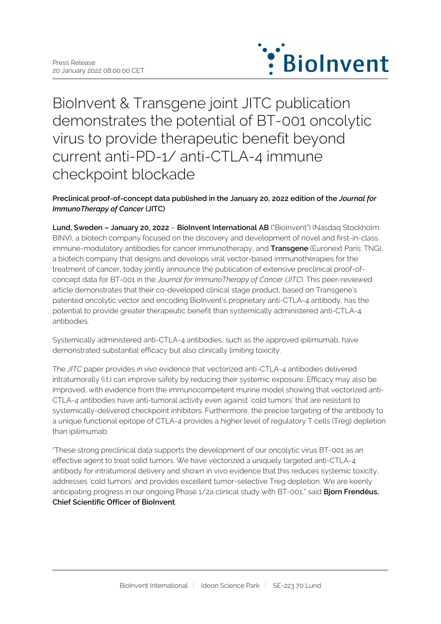

BioInvent & Transgene joint JITC publication demonstrates the potential of BT-001 oncolytic virus to provide therapeutic benefit beyond current anti-PD-1/ anti-CTLA-4 immune checkpoint blockade

# **Preclinical proof-of-concept data published in the January 20, 2022 edition of the** *Journal for ImmunoTherapy of Cancer* **(JITC)**

**Lund, Sweden – January 20, 2022** – **BioInvent International AB** ("BioInvent") (Nasdaq Stockholm: BINV), a biotech company focused on the discovery and development of novel and first-in-class immune-modulatory antibodies for cancer immunotherapy, and **Transgene** (Euronext Paris: TNG), a biotech company that designs and develops viral vector-based immunotherapies for the treatment of cancer, today jointly announce the publication of extensive preclinical proof-ofconcept data for BT-001 in the *Journal for ImmunoTherapy of Cancer (JITC*). This peer-reviewed article demonstrates that their co-developed clinical stage product, based on Transgene's patented oncolytic vector and encoding BioInvent's proprietary anti-CTLA-4 antibody, has the potential to provide greater therapeutic benefit than systemically administered anti-CTLA-4 antibodies.

Systemically administered anti-CTLA-4 antibodies, such as the approved ipilimumab, have demonstrated substantial efficacy but also clinically limiting toxicity.

The *JITC* paper provides *in vivo* evidence that vectorized anti-CTLA-4 antibodies delivered intratumorally (i.t.) can improve safety by reducing their systemic exposure. Efficacy may also be improved, with evidence from the immunocompetent murine model showing that vectorized anti-CTLA-4 antibodies have anti-tumoral activity even against 'cold tumors' that are resistant to systemically-delivered checkpoint inhibitors. Furthermore, the precise targeting of the antibody to a unique functional epitope of CTLA-4 provides a higher level of regulatory T cells (Treg) depletion than ipilimumab.

"These strong preclinical data supports the development of our oncolytic virus BT-001 as an effective agent to treat solid tumors. We have vectorized a uniquely targeted anti-CTLA-4 antibody for intratumoral delivery and shown in vivo evidence that this reduces systemic toxicity, addresses 'cold tumors' and provides excellent tumor-selective Treg depletion. We are keenly anticipating progress in our ongoing Phase 1/2a clinical study with BT-001," said **Bjorn Frendéus, Chief Scientific Officer of BioInvent**.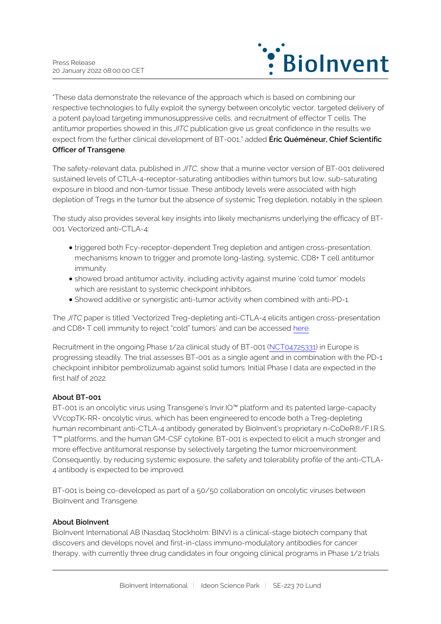

"These data demonstrate the relevance of the approach which is based on combining our respective technologies to fully exploit the synergy between oncolytic vector, targeted delivery of a potent payload targeting immunosuppressive cells, and recruitment of effector T cells. The antitumor properties showed in this *JITC* publication give us great confidence in the results we expect from the further clinical development of BT-001," added **Éric Quéméneur, Chief Scientific Officer of Transgene**.

The safety-relevant data, published in *JITC,* show that a murine vector version of BT-001 delivered sustained levels of CTLA-4-receptor-saturating antibodies within tumors but low, sub-saturating exposure in blood and non-tumor tissue. These antibody levels were associated with high depletion of Tregs in the tumor but the absence of systemic Treg depletion, notably in the spleen.

The study also provides several key insights into likely mechanisms underlying the efficacy of BT-001. Vectorized anti-CTLA-4:

- triggered both Fcy-receptor-dependent Treg depletion and antigen cross-presentation, mechanisms known to trigger and promote long-lasting, systemic, CD8+ T cell antitumor immunity.
- showed broad antitumor activity, including activity against murine 'cold tumor' models which are resistant to systemic checkpoint inhibitors.
- Showed additive or synergistic anti-tumor activity when combined with anti-PD-1.

The *JITC* paper is titled 'Vectorized Treg-depleting anti-CTLA-4 elicits antigen cross-presentation and CD8+ T cell immunity to reject "cold" tumors' and can be accessed [here.](https://dx.doi.org/10.1136/%20jitc-%202021-003488)

Recruitment in the ongoing Phase 1/2a clinical study of BT-001 ([NCT04725331](https://www.clinicaltrials.gov/ct2/show/NCT04725331)) in Europe is progressing steadily. The trial assesses BT-001 as a single agent and in combination with the PD-1 checkpoint inhibitor pembrolizumab against solid tumors. Initial Phase I data are expected in the first half of 2022.

# **About BT-001**

BT-001 is an oncolytic virus using Transgene's Invir.IO™ platform and its patented large-capacity VVcopTK-RR- oncolytic virus, which has been engineered to encode both a Treg-depleting human recombinant anti-CTLA-4 antibody generated by BioInvent's proprietary n-CoDeR®/F.I.R.S. T™ platforms, and the human GM-CSF cytokine. BT-001 is expected to elicit a much stronger and more effective antitumoral response by selectively targeting the tumor microenvironment. Consequently, by reducing systemic exposure, the safety and tolerability profile of the anti-CTLA-4 antibody is expected to be improved.

BT-001 is being co-developed as part of a 50/50 collaboration on oncolytic viruses between BioInvent and Transgene.

#### **About BioInvent**

BioInvent International AB (Nasdaq Stockholm: BINV) is a clinical-stage biotech company that discovers and develops novel and first-in-class immuno-modulatory antibodies for cancer therapy, with currently three drug candidates in four ongoing clinical programs in Phase 1/2 trials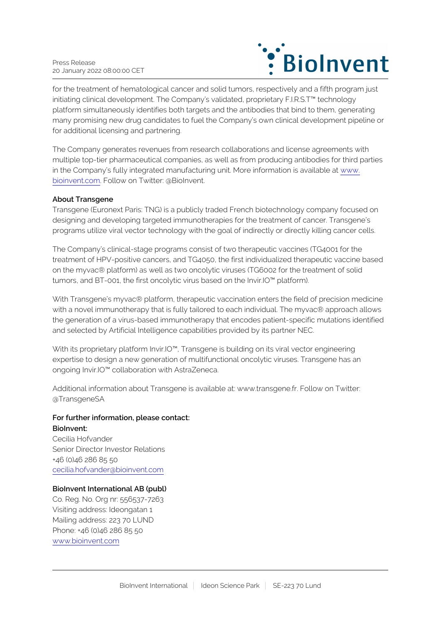

for the treatment of hematological cancer and solid tumors, respectively and a fifth program just initiating clinical development. The Company's validated, proprietary F.I.R.S.T™ technology platform simultaneously identifies both targets and the antibodies that bind to them, generating many promising new drug candidates to fuel the Company's own clinical development pipeline or for additional licensing and partnering.

The Company generates revenues from research collaborations and license agreements with multiple top-tier pharmaceutical companies, as well as from producing antibodies for third parties in the Company's fully integrated manufacturing unit. More information is available at [www.](http://www.bioinvent.com/) [bioinvent.com](http://www.bioinvent.com/). Follow on Twitter: @BioInvent.

## **About Transgene**

Transgene (Euronext Paris: TNG) is a publicly traded French biotechnology company focused on designing and developing targeted immunotherapies for the treatment of cancer. Transgene's programs utilize viral vector technology with the goal of indirectly or directly killing cancer cells.

The Company's clinical-stage programs consist of two therapeutic vaccines (TG4001 for the treatment of HPV-positive cancers, and TG4050, the first individualized therapeutic vaccine based on the myvac® platform) as well as two oncolytic viruses (TG6002 for the treatment of solid tumors, and BT-001, the first oncolytic virus based on the Invir.IO™ platform).

With Transgene's myvac® platform, therapeutic vaccination enters the field of precision medicine with a novel immunotherapy that is fully tailored to each individual. The myvac® approach allows the generation of a virus-based immunotherapy that encodes patient-specific mutations identified and selected by Artificial Intelligence capabilities provided by its partner NEC.

With its proprietary platform Invir.IO<sup>™</sup>, Transgene is building on its viral vector engineering expertise to design a new generation of multifunctional oncolytic viruses. Transgene has an ongoing Invir.IO™ collaboration with AstraZeneca.

Additional information about Transgene is available at: www.transgene.fr. Follow on Twitter: @TransgeneSA

# **For further information, please contact:**

**BioInvent:** Cecilia Hofvander Senior Director Investor Relations +46 (0)46 286 85 50 [cecilia.hofvander@bioinvent.com](mailto:cecilia.hofvander@bioinvent.com)

#### **BioInvent International AB (publ)**

Co. Reg. No. Org nr: 556537-7263 Visiting address: Ideongatan 1 Mailing address: 223 70 LUND Phone: +46 (0)46 286 85 50 [www.bioinvent.com](http://www.bioinvent.com/)